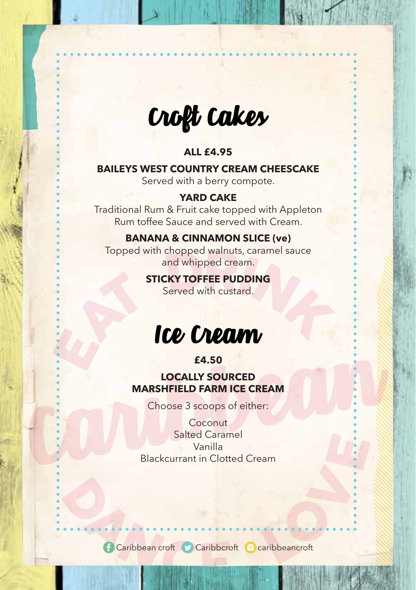

Croft Cakes

## **ALL £4.95**

## **BAILEYS WEST COUNTRY CREAM CHEESCAKE**

Served with a berry compote.

#### **YARD CAKE**

Traditional Rum & Fruit cake topped with Appleton Rum toffee Sauce and served with Cream.

### **BANANA & CINNAMON SLICE (ve)**

Topped with chopped walnuts, caramel sauce and whipped cream.

## **STICKY TOFFEE PUDDING**

Served with custard.



## **£4.50**

### **LOCALLY SOURCED MARSHFIELD FARM ICE CREAM**

Choose 3 scoops of either:

**Coconut** Salted Caramel Vanilla Blackcurrant in Clotted Cream

**Caribbean croft** Caribbcroft Caribbeancroft